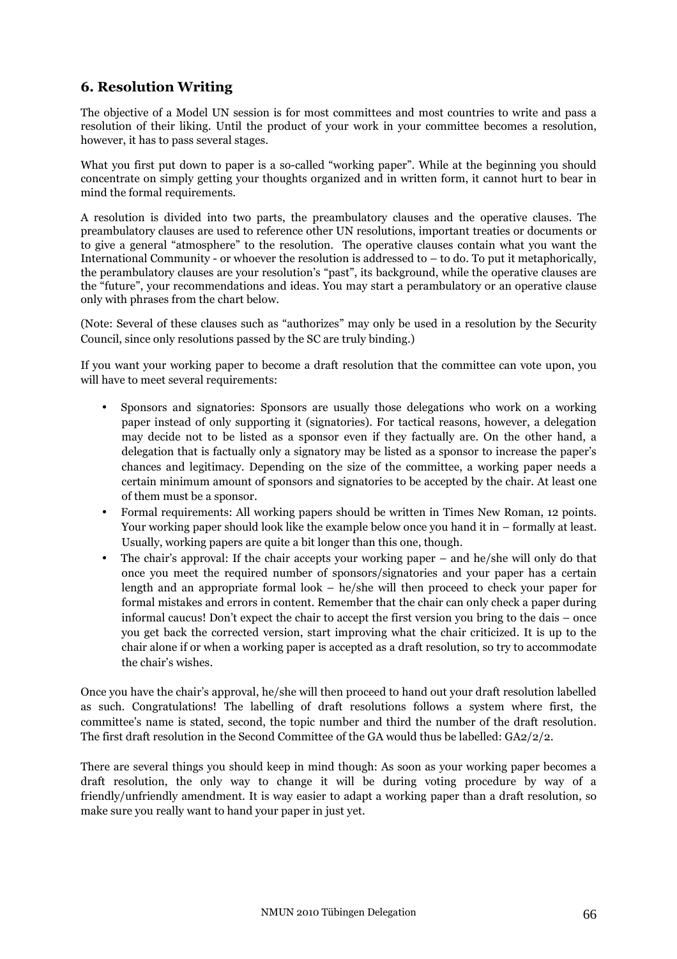## **6. Resolution Writing**

The objective of a Model UN session is for most committees and most countries to write and pass a resolution of their liking. Until the product of your work in your committee becomes a resolution, however, it has to pass several stages.

What you first put down to paper is a so-called "working paper". While at the beginning you should concentrate on simply getting your thoughts organized and in written form, it cannot hurt to bear in mind the formal requirements.

A resolution is divided into two parts, the preambulatory clauses and the operative clauses. The preambulatory clauses are used to reference other UN resolutions, important treaties or documents or to give a general "atmosphere" to the resolution. The operative clauses contain what you want the International Community - or whoever the resolution is addressed to – to do. To put it metaphorically, the perambulatory clauses are your resolution's "past", its background, while the operative clauses are the "future", your recommendations and ideas. You may start a perambulatory or an operative clause only with phrases from the chart below.

(Note: Several of these clauses such as "authorizes" may only be used in a resolution by the Security Council, since only resolutions passed by the SC are truly binding.)

If you want your working paper to become a draft resolution that the committee can vote upon, you will have to meet several requirements:

- Sponsors and signatories: Sponsors are usually those delegations who work on a working paper instead of only supporting it (signatories). For tactical reasons, however, a delegation may decide not to be listed as a sponsor even if they factually are. On the other hand, a delegation that is factually only a signatory may be listed as a sponsor to increase the paper's chances and legitimacy. Depending on the size of the committee, a working paper needs a certain minimum amount of sponsors and signatories to be accepted by the chair. At least one of them must be a sponsor.
- Formal requirements: All working papers should be written in Times New Roman, 12 points. Your working paper should look like the example below once you hand it in – formally at least. Usually, working papers are quite a bit longer than this one, though.
- The chair's approval: If the chair accepts your working paper and he/she will only do that once you meet the required number of sponsors/signatories and your paper has a certain length and an appropriate formal look – he/she will then proceed to check your paper for formal mistakes and errors in content. Remember that the chair can only check a paper during informal caucus! Don't expect the chair to accept the first version you bring to the dais – once you get back the corrected version, start improving what the chair criticized. It is up to the chair alone if or when a working paper is accepted as a draft resolution, so try to accommodate the chair's wishes.

Once you have the chair's approval, he/she will then proceed to hand out your draft resolution labelled as such. Congratulations! The labelling of draft resolutions follows a system where first, the committee's name is stated, second, the topic number and third the number of the draft resolution. The first draft resolution in the Second Committee of the GA would thus be labelled: GA2/2/2.

There are several things you should keep in mind though: As soon as your working paper becomes a draft resolution, the only way to change it will be during voting procedure by way of a friendly/unfriendly amendment. It is way easier to adapt a working paper than a draft resolution, so make sure you really want to hand your paper in just yet.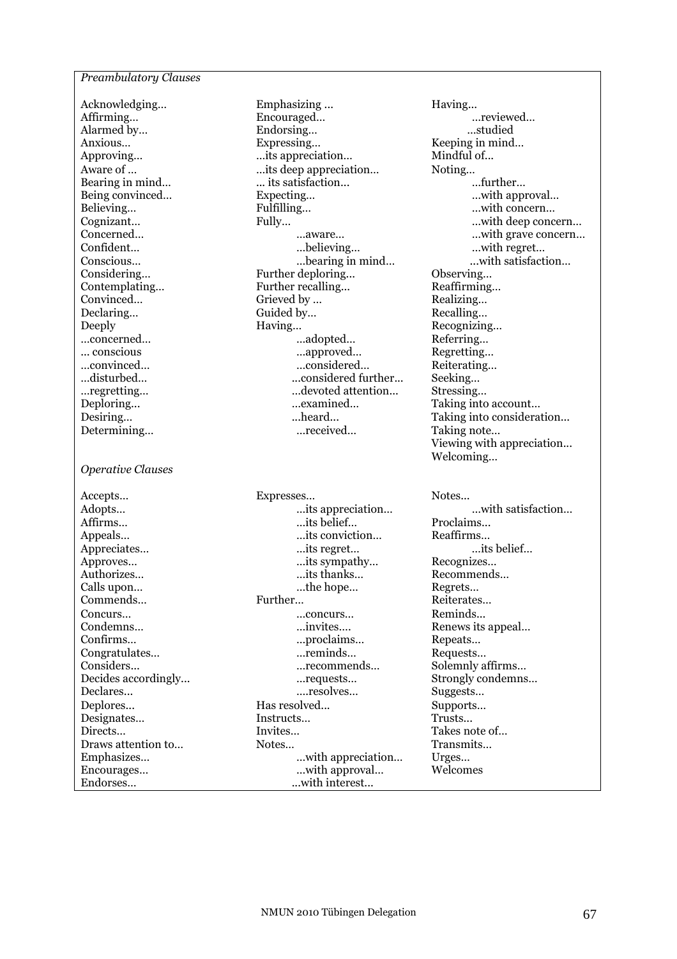## *Preambulatory Clauses*

Contemplating... Further recalling... *Operative Clauses*  Appreciates… …its regret… …its belief…

Acknowledging... Emphasizing ... Having... Affirming... **Encouraged...** Encouraged... **Example 1** Encouraged... **Example 2** Encouraged... Alarmed by… **Endorsing…** Endorsing… **Endorsing** Endorsing… studied Anxious… Expressing… Keeping in mind… …its appreciation… Aware of … … …its deep appreciation… Noting… <br>Bearing in mind… … its satisfaction… … …… …… further…  $\dots$  its satisfaction... Being convinced… Expecting… Expecting… Believing… Fulfilling… Fulfilling… Fulfilling… ... with concern… Confident… …believing… …with regret… Considering… Further deploring... Observing… Convinced... Grieved by ... Convinced... Convinced... Declaring… Guided by… Recalling… Deeply Having… Recognizing… …concerned… …<br>…adopted… Referring… Referring… Referring… Referring… ... conscious …approved… Regretting… …considered… Reiterating… …disturbed… ...considered further... Seeking… …regretting… …devoted attention... Stressing… mexamined… Taking into account…<br>meard… Taking into considera Determining… …received… Taking note…

...its appreciation… Affirms... belief… **Example 2.** The proclaims of the proclaims of the proclaims of the proclaims of the proclaims of the proclaims of the proclaims of the proclaims of the proclaims of the proclaims of the proclaims of the Appeals… …its conviction… Reaffirms…<br>Appreciates… …its regret… …its regret… …its belief… Approves... **Example 1** 2012 11: The sympathy... **Example 1** 2013 11: Recognizes... Authorizes… **Example 2.** The method of the matrix method is thanks… **Recommends…** Calls upon… **EXECUTE:** The hope… Regrets… Commends… Further… Reiterates… Concurs… …concurs… Reminds... Condemns… …invites…. Renews its appeal… Confirms… …proclaims… Repeats… Congratulates… …reminds… Requests… Considers... …recommends… Solemnly affirms… Decides accordingly... …requests… Strongly condemns… Declares... ….resolves… Suggests… Has resolved... Supports<br>Instructs… Trusts… Trusts… Designates… Instructs... Directs… Invites… Invites… Takes note of… Draws attention to… Notes… Notes… Transmits… Emphasizes... **Emphasizes Emphasizes Emphasizes Emphasizes Emphasizes Emphasizes Emphasizes Emphasizes Emphasizes Emphasizes Emphasizes Emphasizes Emphasizes Emphasizes Emphasizes Emphasizes** Encourages… …with approval… Welcomes Endorses… ...with interest...

Cognizant… Fully… Fully… **Fully…** Fully… Concerned… … …aware… … …aware… … …with grave concern… Conscious… …bearing in mind… ...with satisfaction… Desiring... **Desiring...** heard... Taking into consideration... Viewing with appreciation... Welcoming…

Accepts… Expresses… Notes...